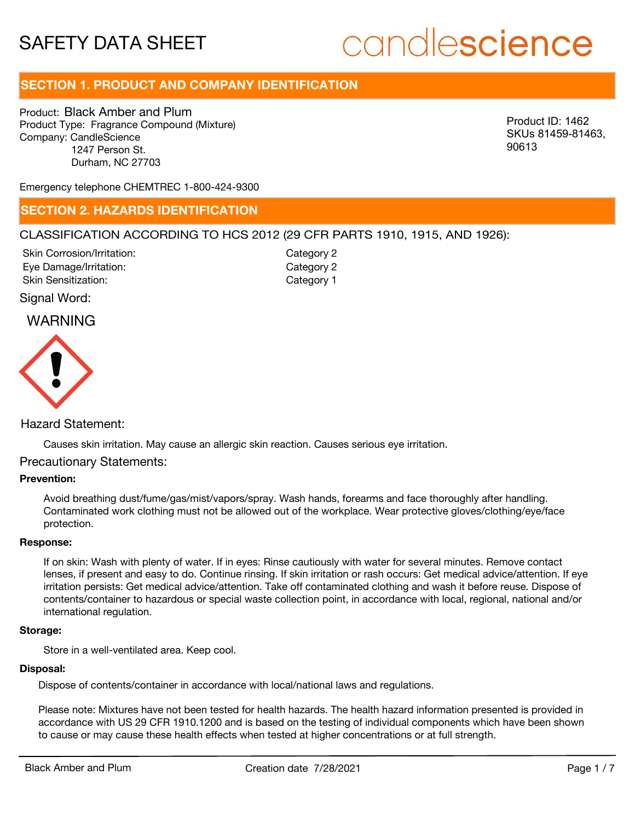# candlescience

# **SECTION 1. PRODUCT AND COMPANY IDENTIFICATION**

Product: Black Amber and Plum Product Type: Fragrance Compound (Mixture) Company: CandleScience 1247 Person St. Durham, NC 27703

Product ID: 1462 SKUs 81459-81463, 90613

Emergency telephone CHEMTREC 1-800-424-9300

### **SECTION 2. HAZARDS IDENTIFICATION**

### CLASSIFICATION ACCORDING TO HCS 2012 (29 CFR PARTS 1910, 1915, AND 1926):

Skin Corrosion/Irritation: Eye Damage/Irritation: Skin Sensitization:

Category 2 Category 2 Category 1

### Signal Word:

## WARNING



### Hazard Statement:

Causes skin irritation. May cause an allergic skin reaction. Causes serious eye irritation.

### Precautionary Statements:

### **Prevention:**

Avoid breathing dust/fume/gas/mist/vapors/spray. Wash hands, forearms and face thoroughly after handling. Contaminated work clothing must not be allowed out of the workplace. Wear protective gloves/clothing/eye/face protection.

#### **Response:**

If on skin: Wash with plenty of water. If in eyes: Rinse cautiously with water for several minutes. Remove contact lenses, if present and easy to do. Continue rinsing. If skin irritation or rash occurs: Get medical advice/attention. If eye irritation persists: Get medical advice/attention. Take off contaminated clothing and wash it before reuse. Dispose of contents/container to hazardous or special waste collection point, in accordance with local, regional, national and/or international regulation.

#### **Storage:**

Store in a well-ventilated area. Keep cool.

### **Disposal:**

Dispose of contents/container in accordance with local/national laws and regulations.

Please note: Mixtures have not been tested for health hazards. The health hazard information presented is provided in accordance with US 29 CFR 1910.1200 and is based on the testing of individual components which have been shown to cause or may cause these health effects when tested at higher concentrations or at full strength.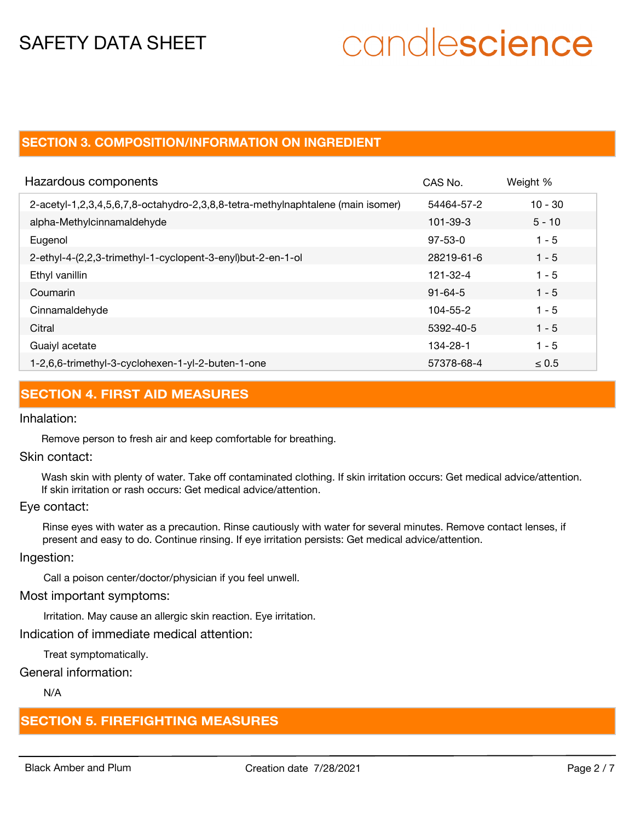# candlescience

## **SECTION 3. COMPOSITION/INFORMATION ON INGREDIENT**

| Hazardous components                                                            | CAS No.        | Weight %   |
|---------------------------------------------------------------------------------|----------------|------------|
| 2-acetyl-1,2,3,4,5,6,7,8-octahydro-2,3,8,8-tetra-methylnaphtalene (main isomer) | 54464-57-2     | $10 - 30$  |
| alpha-Methylcinnamaldehyde                                                      | $101 - 39 - 3$ | $5 - 10$   |
| Eugenol                                                                         | $97 - 53 - 0$  | $1 - 5$    |
| 2-ethyl-4-(2,2,3-trimethyl-1-cyclopent-3-enyl)but-2-en-1-ol                     | 28219-61-6     | $1 - 5$    |
| Ethyl vanillin                                                                  | 121-32-4       | $1 - 5$    |
| Coumarin                                                                        | $91 - 64 - 5$  | $1 - 5$    |
| Cinnamaldehyde                                                                  | $104 - 55 - 2$ | $1 - 5$    |
| Citral                                                                          | 5392-40-5      | $1 - 5$    |
| Guaiyl acetate                                                                  | 134-28-1       | $1 - 5$    |
| 1-2,6,6-trimethyl-3-cyclohexen-1-yl-2-buten-1-one                               | 57378-68-4     | $\leq 0.5$ |

# **SECTION 4. FIRST AID MEASURES**

Inhalation:

Remove person to fresh air and keep comfortable for breathing.

Skin contact:

Wash skin with plenty of water. Take off contaminated clothing. If skin irritation occurs: Get medical advice/attention. If skin irritation or rash occurs: Get medical advice/attention.

Eye contact:

Rinse eyes with water as a precaution. Rinse cautiously with water for several minutes. Remove contact lenses, if present and easy to do. Continue rinsing. If eye irritation persists: Get medical advice/attention.

### Ingestion:

Call a poison center/doctor/physician if you feel unwell.

### Most important symptoms:

Irritation. May cause an allergic skin reaction. Eye irritation.

Indication of immediate medical attention:

Treat symptomatically.

General information:

N/A

# **SECTION 5. FIREFIGHTING MEASURES**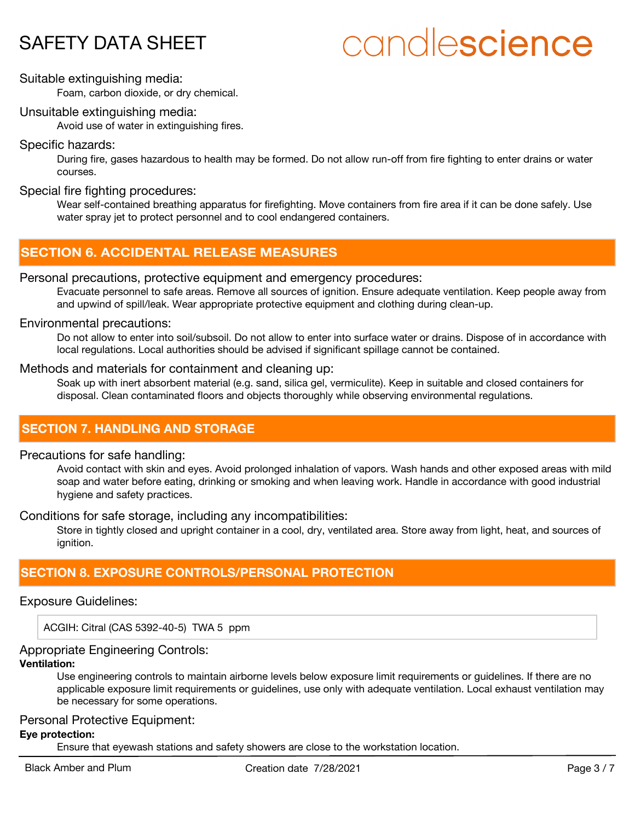# candlescience

### Suitable extinguishing media:

Foam, carbon dioxide, or dry chemical.

### Unsuitable extinguishing media:

Avoid use of water in extinguishing fires.

### Specific hazards:

During fire, gases hazardous to health may be formed. Do not allow run-off from fire fighting to enter drains or water courses.

### Special fire fighting procedures:

Wear self-contained breathing apparatus for firefighting. Move containers from fire area if it can be done safely. Use water spray jet to protect personnel and to cool endangered containers.

# **SECTION 6. ACCIDENTAL RELEASE MEASURES**

### Personal precautions, protective equipment and emergency procedures:

Evacuate personnel to safe areas. Remove all sources of ignition. Ensure adequate ventilation. Keep people away from and upwind of spill/leak. Wear appropriate protective equipment and clothing during clean-up.

### Environmental precautions:

Do not allow to enter into soil/subsoil. Do not allow to enter into surface water or drains. Dispose of in accordance with local regulations. Local authorities should be advised if significant spillage cannot be contained.

### Methods and materials for containment and cleaning up:

Soak up with inert absorbent material (e.g. sand, silica gel, vermiculite). Keep in suitable and closed containers for disposal. Clean contaminated floors and objects thoroughly while observing environmental regulations.

# **SECTION 7. HANDLING AND STORAGE**

### Precautions for safe handling:

Avoid contact with skin and eyes. Avoid prolonged inhalation of vapors. Wash hands and other exposed areas with mild soap and water before eating, drinking or smoking and when leaving work. Handle in accordance with good industrial hygiene and safety practices.

Conditions for safe storage, including any incompatibilities:

Store in tightly closed and upright container in a cool, dry, ventilated area. Store away from light, heat, and sources of ignition.

# **SECTION 8. EXPOSURE CONTROLS/PERSONAL PROTECTION**

### Exposure Guidelines:

ACGIH: Citral (CAS 5392-40-5) TWA 5 ppm

### Appropriate Engineering Controls:

### **Ventilation:**

Use engineering controls to maintain airborne levels below exposure limit requirements or guidelines. If there are no applicable exposure limit requirements or guidelines, use only with adequate ventilation. Local exhaust ventilation may be necessary for some operations.

### Personal Protective Equipment:

### **Eye protection:**

Ensure that eyewash stations and safety showers are close to the workstation location.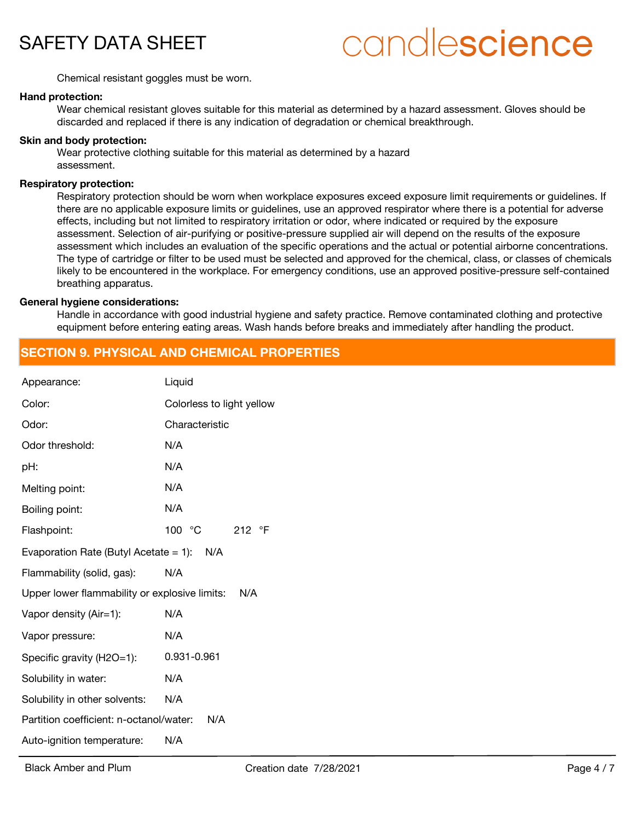

# candlescience

Chemical resistant goggles must be worn.

#### **Hand protection:**

Wear chemical resistant gloves suitable for this material as determined by a hazard assessment. Gloves should be discarded and replaced if there is any indication of degradation or chemical breakthrough.

#### **Skin and body protection:**

Wear protective clothing suitable for this material as determined by a hazard assessment.

#### **Respiratory protection:**

Respiratory protection should be worn when workplace exposures exceed exposure limit requirements or guidelines. If there are no applicable exposure limits or guidelines, use an approved respirator where there is a potential for adverse effects, including but not limited to respiratory irritation or odor, where indicated or required by the exposure assessment. Selection of air-purifying or positive-pressure supplied air will depend on the results of the exposure assessment which includes an evaluation of the specific operations and the actual or potential airborne concentrations. The type of cartridge or filter to be used must be selected and approved for the chemical, class, or classes of chemicals likely to be encountered in the workplace. For emergency conditions, use an approved positive-pressure self-contained breathing apparatus.

### **General hygiene considerations:**

Handle in accordance with good industrial hygiene and safety practice. Remove contaminated clothing and protective equipment before entering eating areas. Wash hands before breaks and immediately after handling the product.

# **SECTION 9. PHYSICAL AND CHEMICAL PROPERTIES**

| Liquid                                               |  |  |
|------------------------------------------------------|--|--|
| Colorless to light yellow                            |  |  |
| Characteristic                                       |  |  |
| N/A                                                  |  |  |
| N/A                                                  |  |  |
| N/A                                                  |  |  |
| N/A                                                  |  |  |
| 100 °C<br>212 $\degree$ F                            |  |  |
| Evaporation Rate (Butyl Acetate = 1): $N/A$          |  |  |
| N/A                                                  |  |  |
| Upper lower flammability or explosive limits:<br>N/A |  |  |
| N/A                                                  |  |  |
| N/A                                                  |  |  |
| 0.931-0.961                                          |  |  |
| N/A                                                  |  |  |
| N/A                                                  |  |  |
| Partition coefficient: n-octanol/water:<br>N/A       |  |  |
| N/A                                                  |  |  |
|                                                      |  |  |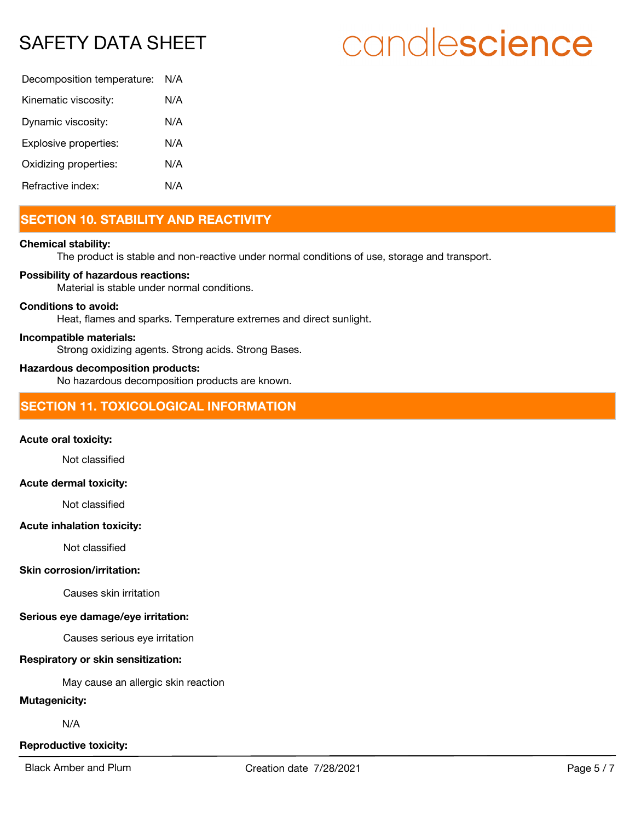# candlescience

| Decomposition temperature: | N/A |
|----------------------------|-----|
| Kinematic viscosity:       | N/A |
| Dynamic viscosity:         | N/A |
| Explosive properties:      | N/A |
| Oxidizing properties:      | N/A |
| Refractive index:          | N/A |

# **SECTION 10. STABILITY AND REACTIVITY**

### **Chemical stability:**

The product is stable and non-reactive under normal conditions of use, storage and transport.

### **Possibility of hazardous reactions:**

Material is stable under normal conditions.

### **Conditions to avoid:**

Heat, flames and sparks. Temperature extremes and direct sunlight.

### **Incompatible materials:**

Strong oxidizing agents. Strong acids. Strong Bases.

### **Hazardous decomposition products:**

No hazardous decomposition products are known.

# **SECTION 11. TOXICOLOGICAL INFORMATION**

### **Acute oral toxicity:**

Not classified

### **Acute dermal toxicity:**

Not classified

### **Acute inhalation toxicity:**

Not classified

### **Skin corrosion/irritation:**

Causes skin irritation

### **Serious eye damage/eye irritation:**

Causes serious eye irritation

### **Respiratory or skin sensitization:**

May cause an allergic skin reaction

### **Mutagenicity:**

N/A

### **Reproductive toxicity:**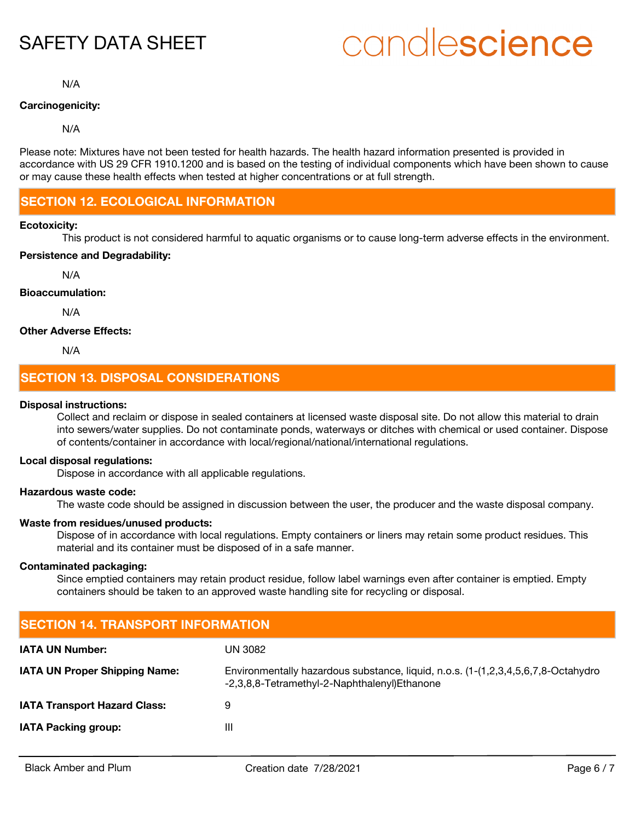# candlescience

N/A

### **Carcinogenicity:**

### N/A

Please note: Mixtures have not been tested for health hazards. The health hazard information presented is provided in accordance with US 29 CFR 1910.1200 and is based on the testing of individual components which have been shown to cause or may cause these health effects when tested at higher concentrations or at full strength.

# **SECTION 12. ECOLOGICAL INFORMATION**

### **Ecotoxicity:**

This product is not considered harmful to aquatic organisms or to cause long-term adverse effects in the environment.

### **Persistence and Degradability:**

N/A

### **Bioaccumulation:**

N/A

### **Other Adverse Effects:**

N/A

# **SECTION 13. DISPOSAL CONSIDERATIONS**

### **Disposal instructions:**

Collect and reclaim or dispose in sealed containers at licensed waste disposal site. Do not allow this material to drain into sewers/water supplies. Do not contaminate ponds, waterways or ditches with chemical or used container. Dispose of contents/container in accordance with local/regional/national/international regulations.

### **Local disposal regulations:**

Dispose in accordance with all applicable regulations.

### **Hazardous waste code:**

The waste code should be assigned in discussion between the user, the producer and the waste disposal company.

### **Waste from residues/unused products:**

Dispose of in accordance with local regulations. Empty containers or liners may retain some product residues. This material and its container must be disposed of in a safe manner.

### **Contaminated packaging:**

Since emptied containers may retain product residue, follow label warnings even after container is emptied. Empty containers should be taken to an approved waste handling site for recycling or disposal.

| <b>SECTION 14. TRANSPORT INFORMATION</b> |                                                                                                                                   |  |
|------------------------------------------|-----------------------------------------------------------------------------------------------------------------------------------|--|
| <b>IATA UN Number:</b>                   | UN 3082                                                                                                                           |  |
| <b>IATA UN Proper Shipping Name:</b>     | Environmentally hazardous substance, liquid, n.o.s. (1-(1,2,3,4,5,6,7,8-Octahydro<br>-2,3,8,8-Tetramethyl-2-Naphthalenyl)Ethanone |  |
| <b>IATA Transport Hazard Class:</b>      | 9                                                                                                                                 |  |
| <b>IATA Packing group:</b>               | $\mathbf{III}$                                                                                                                    |  |